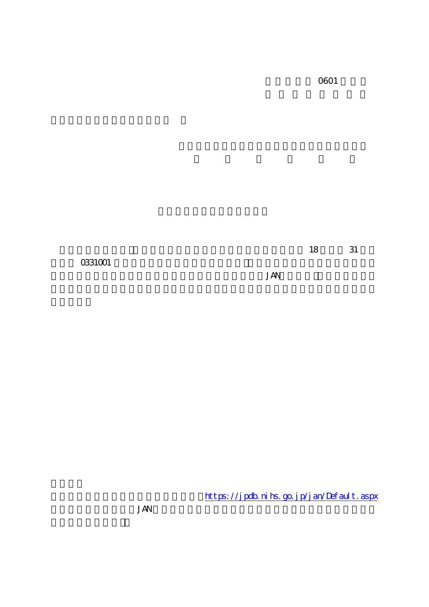0601

 $31$ 18

0331001

**JAN** 

https://jpdb.nihs.go.jp/jan/Default.aspx

**JAN**